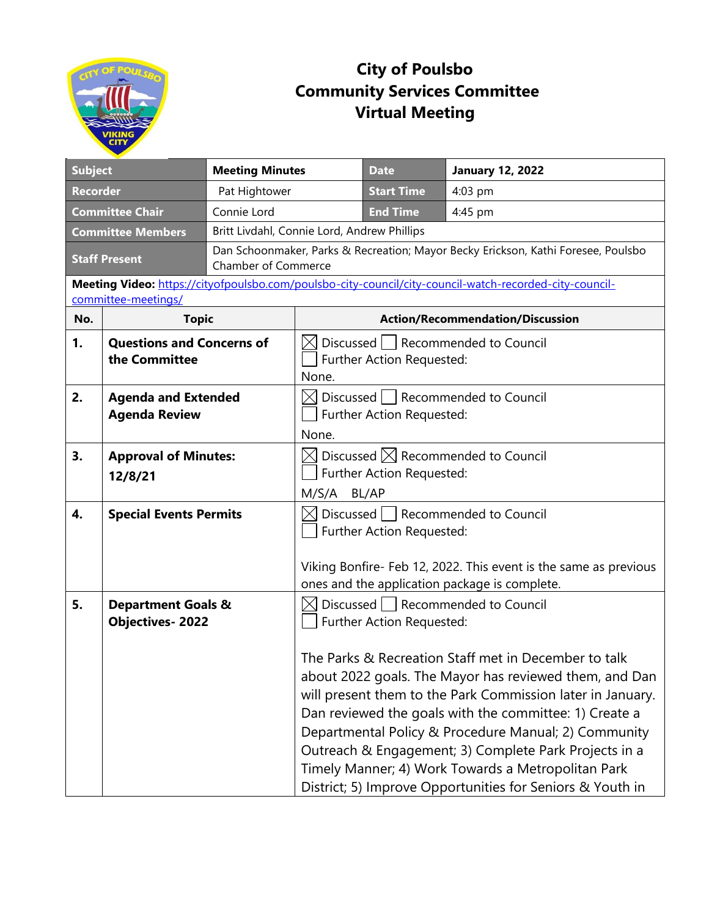

## **City of Poulsbo Community Services Committee Virtual Meeting**

|                                       |                                                         |                            |                                                                                                         | <b>Date</b>               |                                                                                                                                                                                                                                                                                                                                                                                               |  |  |
|---------------------------------------|---------------------------------------------------------|----------------------------|---------------------------------------------------------------------------------------------------------|---------------------------|-----------------------------------------------------------------------------------------------------------------------------------------------------------------------------------------------------------------------------------------------------------------------------------------------------------------------------------------------------------------------------------------------|--|--|
| <b>Subject</b>                        |                                                         |                            | <b>Meeting Minutes</b>                                                                                  |                           | <b>January 12, 2022</b>                                                                                                                                                                                                                                                                                                                                                                       |  |  |
| <b>Recorder</b>                       |                                                         | Pat Hightower              |                                                                                                         | <b>Start Time</b>         | 4:03 pm                                                                                                                                                                                                                                                                                                                                                                                       |  |  |
| <b>Committee Chair</b><br>Connie Lord |                                                         |                            | <b>End Time</b>                                                                                         | 4:45 pm                   |                                                                                                                                                                                                                                                                                                                                                                                               |  |  |
| <b>Committee Members</b>              |                                                         |                            | Britt Livdahl, Connie Lord, Andrew Phillips                                                             |                           |                                                                                                                                                                                                                                                                                                                                                                                               |  |  |
| <b>Staff Present</b>                  |                                                         | <b>Chamber of Commerce</b> | Dan Schoonmaker, Parks & Recreation; Mayor Becky Erickson, Kathi Foresee, Poulsbo                       |                           |                                                                                                                                                                                                                                                                                                                                                                                               |  |  |
|                                       |                                                         |                            |                                                                                                         |                           | Meeting Video: https://cityofpoulsbo.com/poulsbo-city-council/city-council-watch-recorded-city-council-                                                                                                                                                                                                                                                                                       |  |  |
| committee-meetings/                   |                                                         |                            |                                                                                                         |                           |                                                                                                                                                                                                                                                                                                                                                                                               |  |  |
| No.                                   | <b>Topic</b>                                            |                            | <b>Action/Recommendation/Discussion</b>                                                                 |                           |                                                                                                                                                                                                                                                                                                                                                                                               |  |  |
| 1.                                    | <b>Questions and Concerns of</b><br>the Committee       |                            | Discussed   Recommended to Council<br>Further Action Requested:<br>None.                                |                           |                                                                                                                                                                                                                                                                                                                                                                                               |  |  |
| 2.                                    | <b>Agenda and Extended</b><br><b>Agenda Review</b>      |                            | Discussed   Recommended to Council<br>Further Action Requested:<br>None.                                |                           |                                                                                                                                                                                                                                                                                                                                                                                               |  |  |
| 3.                                    | <b>Approval of Minutes:</b><br>12/8/21                  |                            | $\boxtimes$ Discussed $\boxtimes$ Recommended to Council<br>Further Action Requested:<br>M/S/A<br>BL/AP |                           |                                                                                                                                                                                                                                                                                                                                                                                               |  |  |
| 4.                                    | <b>Special Events Permits</b>                           |                            | $\bowtie$                                                                                               | Further Action Requested: | Discussed   Recommended to Council<br>Viking Bonfire- Feb 12, 2022. This event is the same as previous<br>ones and the application package is complete.                                                                                                                                                                                                                                       |  |  |
| 5.                                    | <b>Department Goals &amp;</b><br><b>Objectives-2022</b> |                            | $\times$ l                                                                                              | Further Action Requested: | Discussed   Recommended to Council<br>The Parks & Recreation Staff met in December to talk<br>about 2022 goals. The Mayor has reviewed them, and Dan<br>will present them to the Park Commission later in January.<br>Dan reviewed the goals with the committee: 1) Create a<br>Departmental Policy & Procedure Manual; 2) Community<br>Outreach & Engagement; 3) Complete Park Projects in a |  |  |
|                                       |                                                         |                            |                                                                                                         |                           | Timely Manner; 4) Work Towards a Metropolitan Park<br>District; 5) Improve Opportunities for Seniors & Youth in                                                                                                                                                                                                                                                                               |  |  |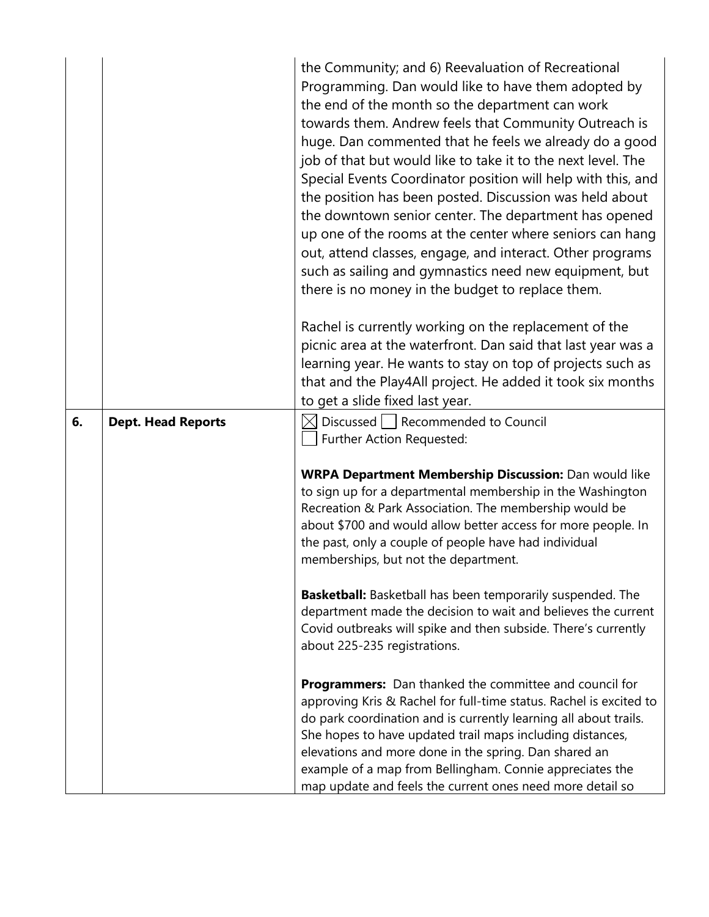|    |                           | the Community; and 6) Reevaluation of Recreational<br>Programming. Dan would like to have them adopted by<br>the end of the month so the department can work<br>towards them. Andrew feels that Community Outreach is<br>huge. Dan commented that he feels we already do a good<br>job of that but would like to take it to the next level. The<br>Special Events Coordinator position will help with this, and<br>the position has been posted. Discussion was held about<br>the downtown senior center. The department has opened<br>up one of the rooms at the center where seniors can hang<br>out, attend classes, engage, and interact. Other programs<br>such as sailing and gymnastics need new equipment, but<br>there is no money in the budget to replace them.<br>Rachel is currently working on the replacement of the |
|----|---------------------------|-------------------------------------------------------------------------------------------------------------------------------------------------------------------------------------------------------------------------------------------------------------------------------------------------------------------------------------------------------------------------------------------------------------------------------------------------------------------------------------------------------------------------------------------------------------------------------------------------------------------------------------------------------------------------------------------------------------------------------------------------------------------------------------------------------------------------------------|
|    |                           | picnic area at the waterfront. Dan said that last year was a<br>learning year. He wants to stay on top of projects such as                                                                                                                                                                                                                                                                                                                                                                                                                                                                                                                                                                                                                                                                                                          |
|    |                           | that and the Play4All project. He added it took six months                                                                                                                                                                                                                                                                                                                                                                                                                                                                                                                                                                                                                                                                                                                                                                          |
| 6. | <b>Dept. Head Reports</b> | to get a slide fixed last year.<br>Discussed   Recommended to Council                                                                                                                                                                                                                                                                                                                                                                                                                                                                                                                                                                                                                                                                                                                                                               |
|    |                           | Further Action Requested:                                                                                                                                                                                                                                                                                                                                                                                                                                                                                                                                                                                                                                                                                                                                                                                                           |
|    |                           | <b>WRPA Department Membership Discussion:</b> Dan would like<br>to sign up for a departmental membership in the Washington<br>Recreation & Park Association. The membership would be<br>about \$700 and would allow better access for more people. In<br>the past, only a couple of people have had individual<br>memberships, but not the department.                                                                                                                                                                                                                                                                                                                                                                                                                                                                              |
|    |                           | <b>Basketball:</b> Basketball has been temporarily suspended. The<br>department made the decision to wait and believes the current<br>Covid outbreaks will spike and then subside. There's currently<br>about 225-235 registrations.                                                                                                                                                                                                                                                                                                                                                                                                                                                                                                                                                                                                |
|    |                           | <b>Programmers:</b> Dan thanked the committee and council for<br>approving Kris & Rachel for full-time status. Rachel is excited to<br>do park coordination and is currently learning all about trails.<br>She hopes to have updated trail maps including distances,<br>elevations and more done in the spring. Dan shared an<br>example of a map from Bellingham. Connie appreciates the<br>map update and feels the current ones need more detail so                                                                                                                                                                                                                                                                                                                                                                              |